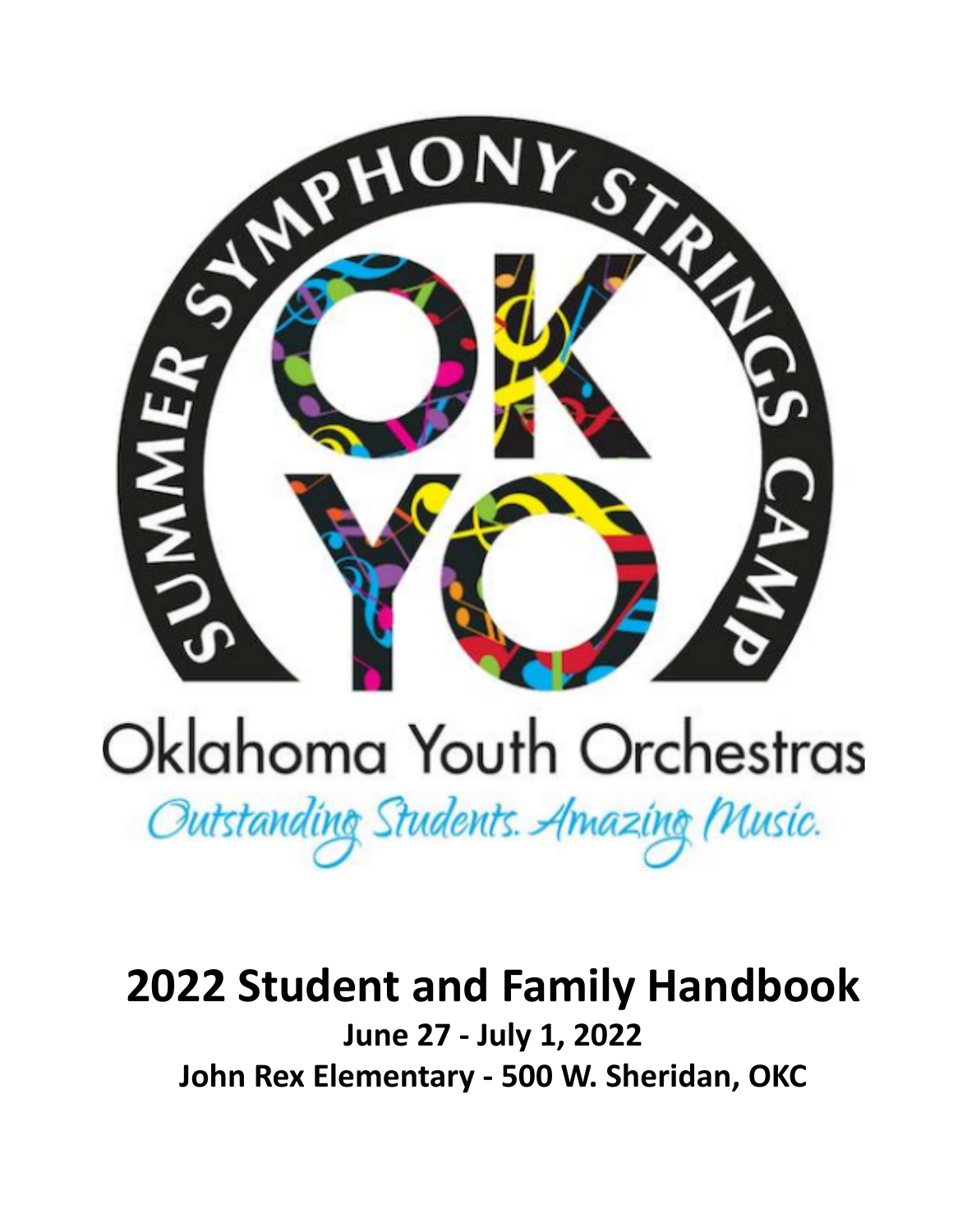

# Oklahoma Youth Orchestras

Outstanding Students. Amazing Music.

# **2022 Student and Family Handbook June 27 - July 1, 2022 John Rex Elementary - 500 W. Sheridan, OKC**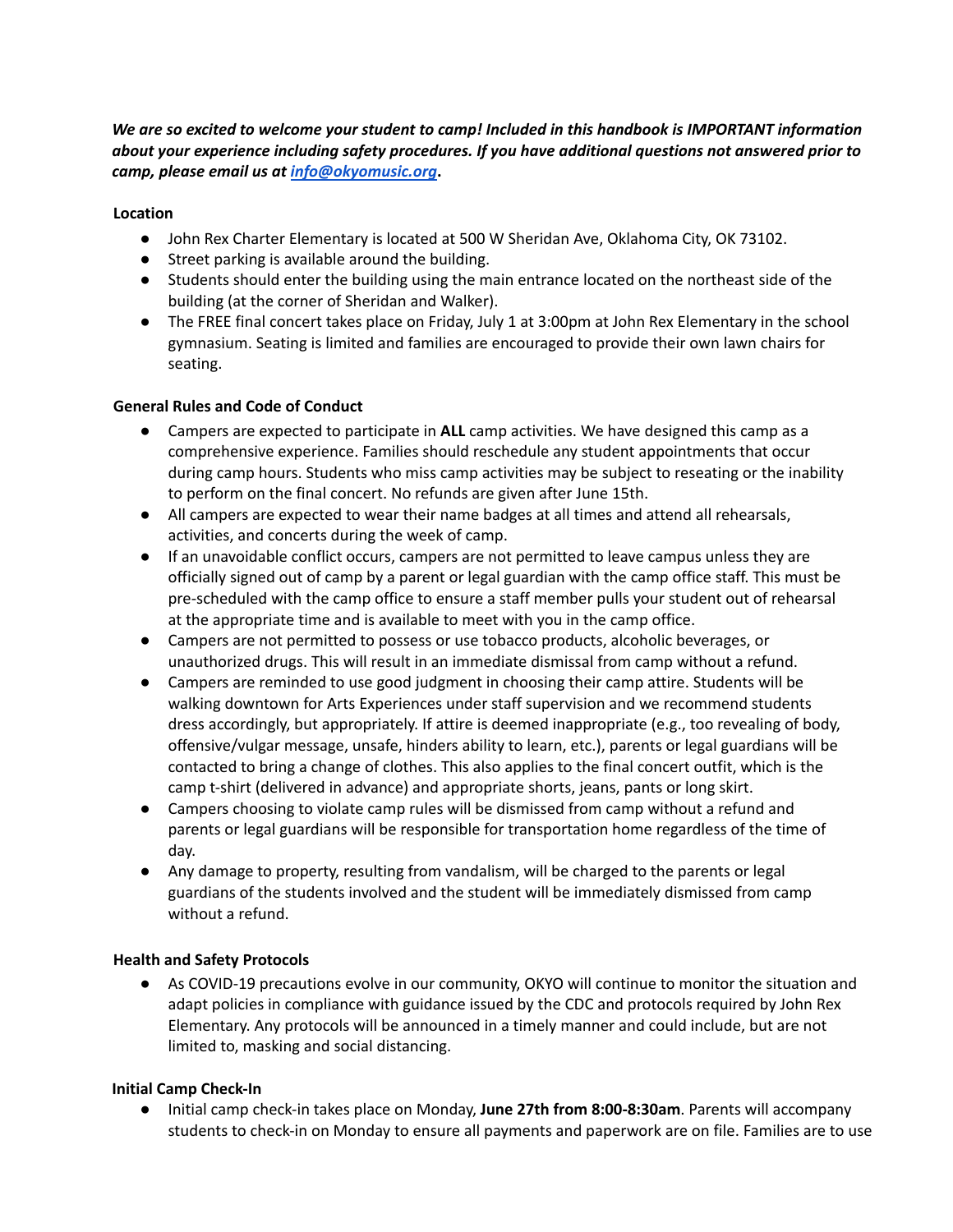*We are so excited to welcome your student to camp! Included in this handbook is IMPORTANT information about your experience including safety procedures. If you have additional questions not answered prior to camp, please email us at [info@okyomusic.org](mailto:info@okyomusic.org)***.**

#### **Location**

- John Rex Charter Elementary is located at 500 W Sheridan Ave, Oklahoma City, OK 73102.
- Street parking is available around the building.
- Students should enter the building using the main entrance located on the northeast side of the building (at the corner of Sheridan and Walker).
- The FREE final concert takes place on Friday, July 1 at 3:00pm at John Rex Elementary in the school gymnasium. Seating is limited and families are encouraged to provide their own lawn chairs for seating.

#### **General Rules and Code of Conduct**

- Campers are expected to participate in **ALL** camp activities. We have designed this camp as a comprehensive experience. Families should reschedule any student appointments that occur during camp hours. Students who miss camp activities may be subject to reseating or the inability to perform on the final concert. No refunds are given after June 15th.
- All campers are expected to wear their name badges at all times and attend all rehearsals, activities, and concerts during the week of camp.
- If an unavoidable conflict occurs, campers are not permitted to leave campus unless they are officially signed out of camp by a parent or legal guardian with the camp office staff. This must be pre-scheduled with the camp office to ensure a staff member pulls your student out of rehearsal at the appropriate time and is available to meet with you in the camp office.
- Campers are not permitted to possess or use tobacco products, alcoholic beverages, or unauthorized drugs. This will result in an immediate dismissal from camp without a refund.
- Campers are reminded to use good judgment in choosing their camp attire. Students will be walking downtown for Arts Experiences under staff supervision and we recommend students dress accordingly, but appropriately. If attire is deemed inappropriate (e.g., too revealing of body, offensive/vulgar message, unsafe, hinders ability to learn, etc.), parents or legal guardians will be contacted to bring a change of clothes. This also applies to the final concert outfit, which is the camp t-shirt (delivered in advance) and appropriate shorts, jeans, pants or long skirt.
- Campers choosing to violate camp rules will be dismissed from camp without a refund and parents or legal guardians will be responsible for transportation home regardless of the time of day.
- Any damage to property, resulting from vandalism, will be charged to the parents or legal guardians of the students involved and the student will be immediately dismissed from camp without a refund.

#### **Health and Safety Protocols**

● As COVID-19 precautions evolve in our community, OKYO will continue to monitor the situation and adapt policies in compliance with guidance issued by the CDC and protocols required by John Rex Elementary. Any protocols will be announced in a timely manner and could include, but are not limited to, masking and social distancing.

#### **Initial Camp Check-In**

● Initial camp check-in takes place on Monday, **June 27th from 8:00-8:30am**. Parents will accompany students to check-in on Monday to ensure all payments and paperwork are on file. Families are to use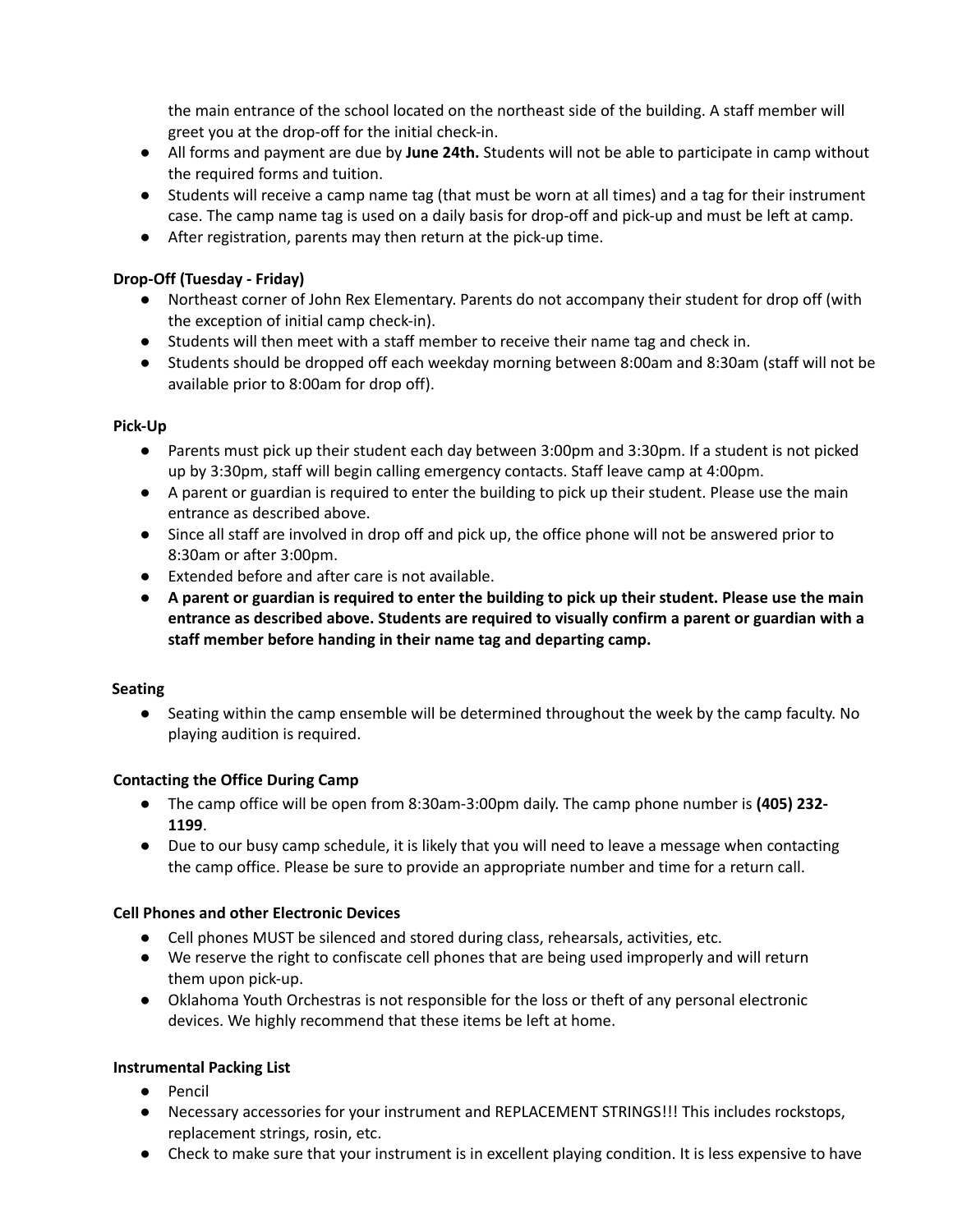the main entrance of the school located on the northeast side of the building. A staff member will greet you at the drop-off for the initial check-in.

- All forms and payment are due by **June 24th.** Students will not be able to participate in camp without the required forms and tuition.
- Students will receive a camp name tag (that must be worn at all times) and a tag for their instrument case. The camp name tag is used on a daily basis for drop-off and pick-up and must be left at camp.
- After registration, parents may then return at the pick-up time.

# **Drop-Off (Tuesday - Friday)**

- Northeast corner of John Rex Elementary. Parents do not accompany their student for drop off (with the exception of initial camp check-in).
- Students will then meet with a staff member to receive their name tag and check in.
- Students should be dropped off each weekday morning between 8:00am and 8:30am (staff will not be available prior to 8:00am for drop off).

### **Pick-Up**

- Parents must pick up their student each day between 3:00pm and 3:30pm. If a student is not picked up by 3:30pm, staff will begin calling emergency contacts. Staff leave camp at 4:00pm.
- A parent or guardian is required to enter the building to pick up their student. Please use the main entrance as described above.
- Since all staff are involved in drop off and pick up, the office phone will not be answered prior to 8:30am or after 3:00pm.
- Extended before and after care is not available.
- A parent or guardian is required to enter the building to pick up their student. Please use the main **entrance as described above. Students are required to visually confirm a parent or guardian with a staff member before handing in their name tag and departing camp.**

# **Seating**

● Seating within the camp ensemble will be determined throughout the week by the camp faculty. No playing audition is required.

# **Contacting the Office During Camp**

- The camp office will be open from 8:30am-3:00pm daily. The camp phone number is **(405) 232- 1199**.
- Due to our busy camp schedule, it is likely that you will need to leave a message when contacting the camp office. Please be sure to provide an appropriate number and time for a return call.

# **Cell Phones and other Electronic Devices**

- Cell phones MUST be silenced and stored during class, rehearsals, activities, etc.
- We reserve the right to confiscate cell phones that are being used improperly and will return them upon pick-up.
- Oklahoma Youth Orchestras is not responsible for the loss or theft of any personal electronic devices. We highly recommend that these items be left at home.

# **Instrumental Packing List**

- Pencil
- Necessary accessories for your instrument and REPLACEMENT STRINGS!!! This includes rockstops, replacement strings, rosin, etc.
- Check to make sure that your instrument is in excellent playing condition. It is less expensive to have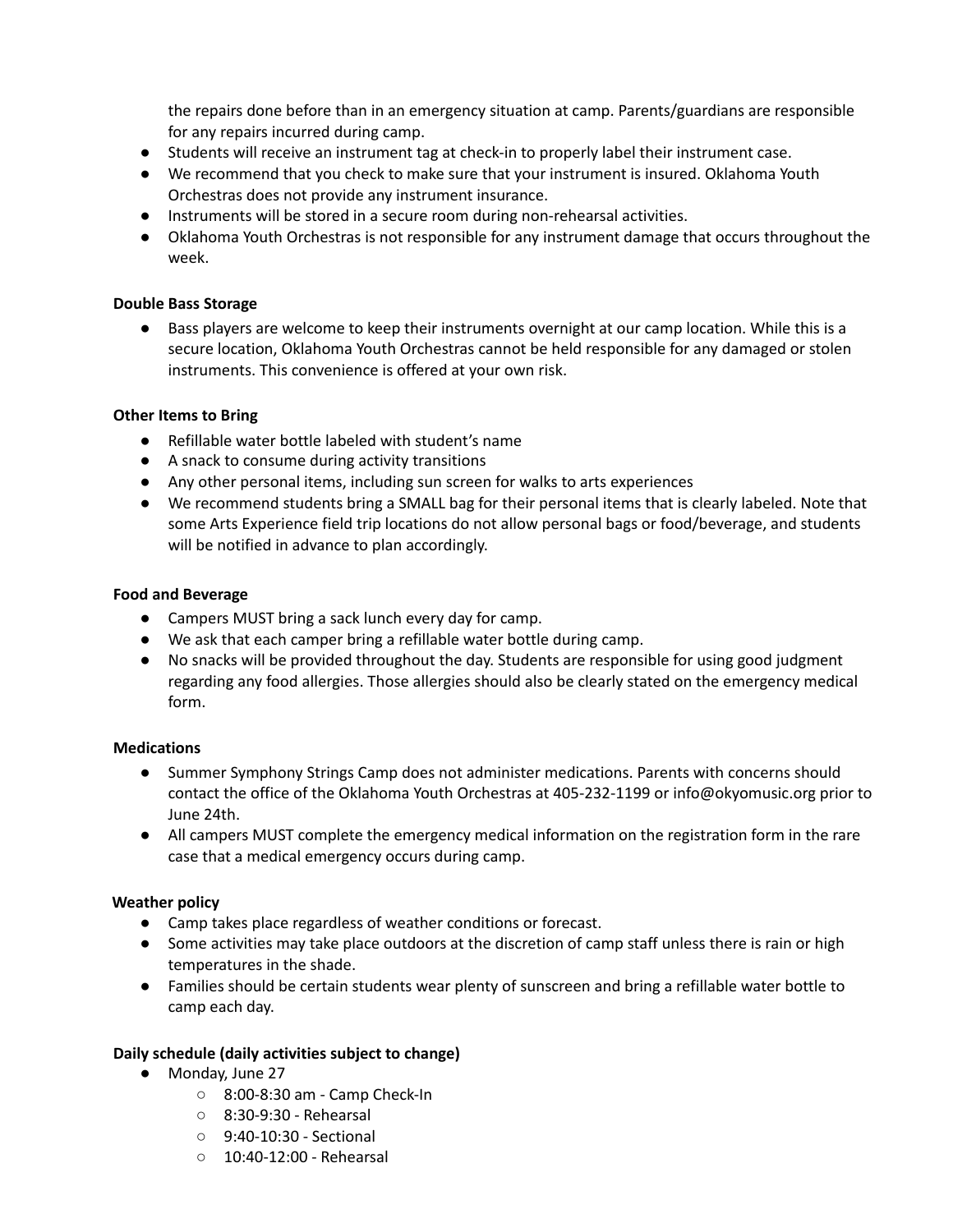the repairs done before than in an emergency situation at camp. Parents/guardians are responsible for any repairs incurred during camp.

- Students will receive an instrument tag at check-in to properly label their instrument case.
- We recommend that you check to make sure that your instrument is insured. Oklahoma Youth Orchestras does not provide any instrument insurance.
- Instruments will be stored in a secure room during non-rehearsal activities.
- Oklahoma Youth Orchestras is not responsible for any instrument damage that occurs throughout the week.

#### **Double Bass Storage**

● Bass players are welcome to keep their instruments overnight at our camp location. While this is a secure location, Oklahoma Youth Orchestras cannot be held responsible for any damaged or stolen instruments. This convenience is offered at your own risk.

#### **Other Items to Bring**

- Refillable water bottle labeled with student's name
- A snack to consume during activity transitions
- Any other personal items, including sun screen for walks to arts experiences
- We recommend students bring a SMALL bag for their personal items that is clearly labeled. Note that some Arts Experience field trip locations do not allow personal bags or food/beverage, and students will be notified in advance to plan accordingly.

#### **Food and Beverage**

- Campers MUST bring a sack lunch every day for camp.
- We ask that each camper bring a refillable water bottle during camp.
- No snacks will be provided throughout the day. Students are responsible for using good judgment regarding any food allergies. Those allergies should also be clearly stated on the emergency medical form.

#### **Medications**

- Summer Symphony Strings Camp does not administer medications. Parents with concerns should contact the office of the Oklahoma Youth Orchestras at 405-232-1199 or info@okyomusic.org prior to June 24th.
- All campers MUST complete the emergency medical information on the registration form in the rare case that a medical emergency occurs during camp.

#### **Weather policy**

- Camp takes place regardless of weather conditions or forecast.
- Some activities may take place outdoors at the discretion of camp staff unless there is rain or high temperatures in the shade.
- Families should be certain students wear plenty of sunscreen and bring a refillable water bottle to camp each day.

#### **Daily schedule (daily activities subject to change)**

- Monday, June 27
	- 8:00-8:30 am Camp Check-In
	- 8:30-9:30 Rehearsal
	- 9:40-10:30 Sectional
	- 10:40-12:00 Rehearsal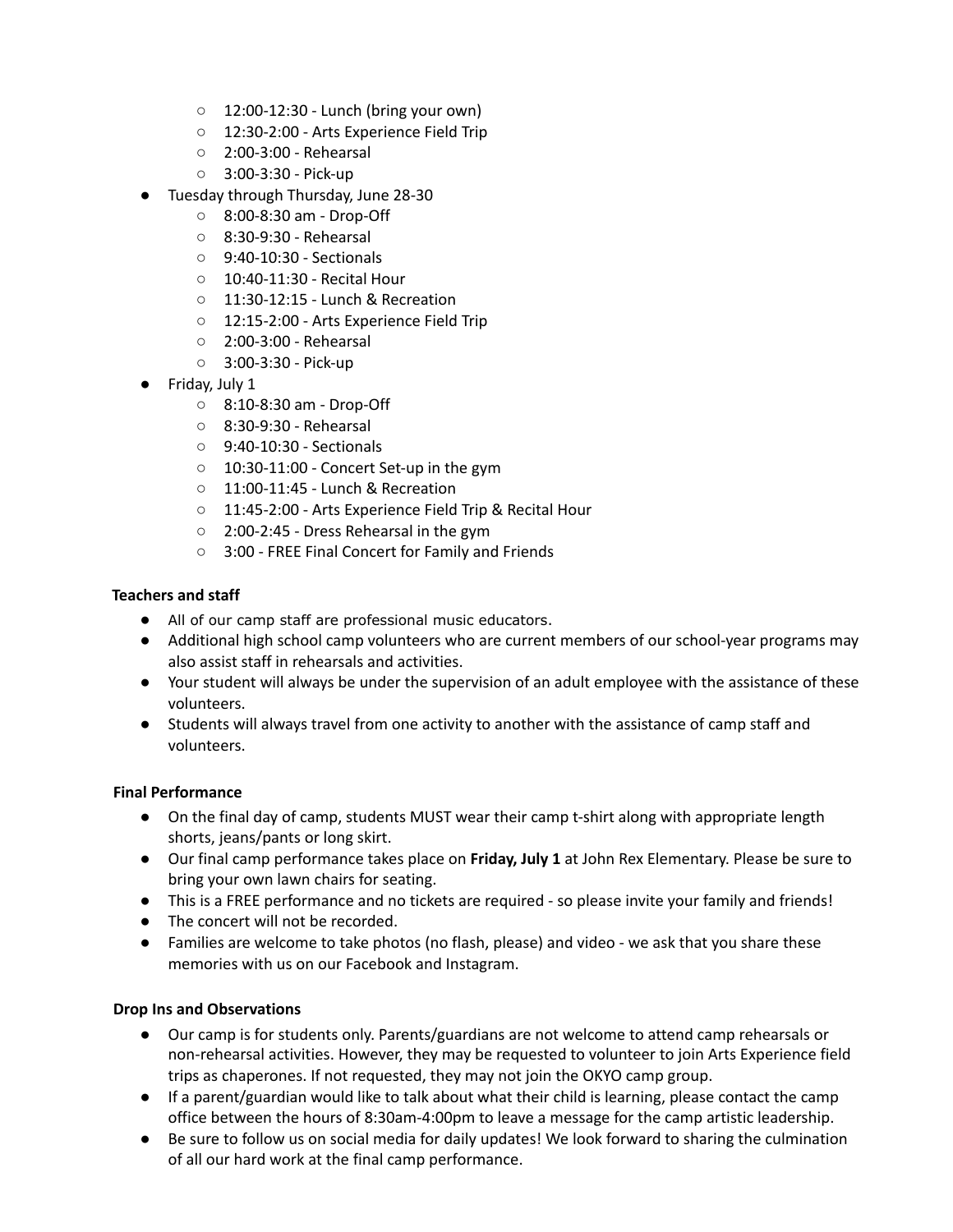- 12:00-12:30 Lunch (bring your own)
- 12:30-2:00 Arts Experience Field Trip
- 2:00-3:00 Rehearsal
- 3:00-3:30 Pick-up
- Tuesday through Thursday, June 28-30
	- 8:00-8:30 am Drop-Off
	- 8:30-9:30 Rehearsal
	- 9:40-10:30 Sectionals
	- 10:40-11:30 Recital Hour
	- 11:30-12:15 Lunch & Recreation
	- 12:15-2:00 Arts Experience Field Trip
	- 2:00-3:00 Rehearsal
	- 3:00-3:30 Pick-up
- Friday, July 1
	- 8:10-8:30 am Drop-Off
	- 8:30-9:30 Rehearsal
	- 9:40-10:30 Sectionals
	- $\circ$  10:30-11:00 Concert Set-up in the gym
	- 11:00-11:45 Lunch & Recreation
	- 11:45-2:00 Arts Experience Field Trip & Recital Hour
	- 2:00-2:45 Dress Rehearsal in the gym
	- 3:00 FREE Final Concert for Family and Friends

#### **Teachers and staff**

- All of our camp staff are professional music educators.
- Additional high school camp volunteers who are current members of our school-year programs may also assist staff in rehearsals and activities.
- Your student will always be under the supervision of an adult employee with the assistance of these volunteers.
- Students will always travel from one activity to another with the assistance of camp staff and volunteers.

#### **Final Performance**

- On the final day of camp, students MUST wear their camp t-shirt along with appropriate length shorts, jeans/pants or long skirt.
- Our final camp performance takes place on **Friday, July 1** at John Rex Elementary. Please be sure to bring your own lawn chairs for seating.
- This is a FREE performance and no tickets are required so please invite your family and friends!
- The concert will not be recorded.
- Families are welcome to take photos (no flash, please) and video we ask that you share these memories with us on our Facebook and Instagram.

#### **Drop Ins and Observations**

- Our camp is for students only. Parents/guardians are not welcome to attend camp rehearsals or non-rehearsal activities. However, they may be requested to volunteer to join Arts Experience field trips as chaperones. If not requested, they may not join the OKYO camp group.
- If a parent/guardian would like to talk about what their child is learning, please contact the camp office between the hours of 8:30am-4:00pm to leave a message for the camp artistic leadership.
- Be sure to follow us on social media for daily updates! We look forward to sharing the culmination of all our hard work at the final camp performance.